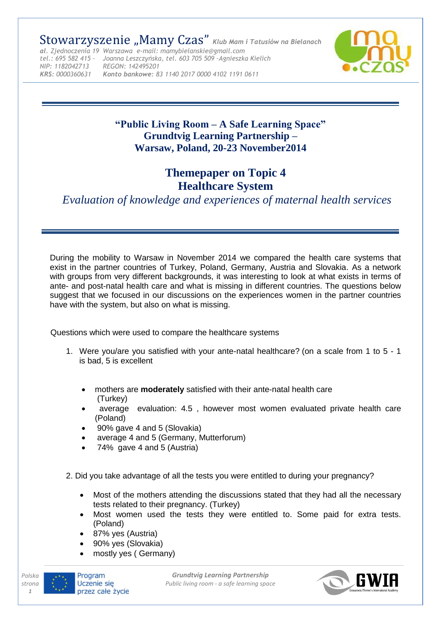

## **"Public Living Room – A Safe Learning Space" Grundtvig Learning Partnership – Warsaw, Poland, 20-23 November2014**

## **Themepaper on Topic 4 Healthcare System**

## *Evaluation of knowledge and experiences of maternal health services*

During the mobility to Warsaw in November 2014 we compared the health care systems that exist in the partner countries of Turkey, Poland, Germany, Austria and Slovakia. As a network with groups from very different backgrounds, it was interesting to look at what exists in terms of ante- and post-natal health care and what is missing in different countries. The questions below suggest that we focused in our discussions on the experiences women in the partner countries have with the system, but also on what is missing.

Questions which were used to compare the healthcare systems

- 1. Were you/are you satisfied with your ante-natal healthcare? (on a scale from 1 to 5 1 is bad, 5 is excellent
	- mothers are **moderately** satisfied with their ante-natal health care (Turkey)
	- average evaluation: 4.5 , however most women evaluated private health care (Poland)
	- 90% gave 4 and 5 (Slovakia)
	- average 4 and 5 (Germany, Mutterforum)
	- 74% gave 4 and 5 (Austria)

2. Did you take advantage of all the tests you were entitled to during your pregnancy?

- Most of the mothers attending the discussions stated that they had all the necessary tests related to their pregnancy. (Turkey)
- Most women used the tests they were entitled to. Some paid for extra tests. (Poland)
- 87% yes (Austria)
- 90% yes (Slovakia)
- mostly yes ( Germany)



*1*

*Grundtvig Learning Partnership Public living room - a safe learning space*

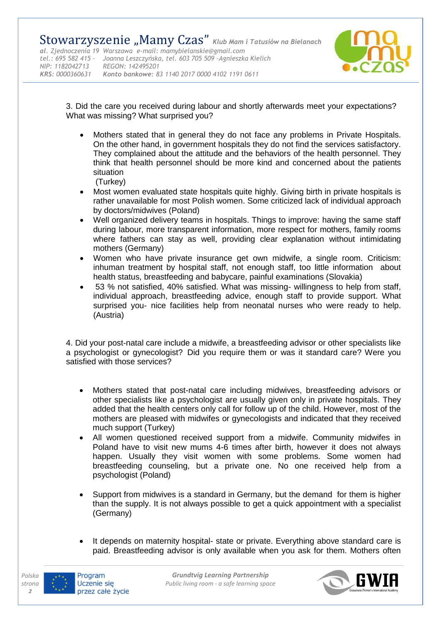

3. Did the care you received during labour and shortly afterwards meet your expectations? What was missing? What surprised you?

- Mothers stated that in general they do not face any problems in Private Hospitals. On the other hand, in government hospitals they do not find the services satisfactory. They complained about the attitude and the behaviors of the health personnel. They think that health personnel should be more kind and concerned about the patients situation (Turkey)
- Most women evaluated state hospitals quite highly. Giving birth in private hospitals is rather unavailable for most Polish women. Some criticized lack of individual approach by doctors/midwives (Poland)
- Well organized delivery teams in hospitals. Things to improve: having the same staff during labour, more transparent information, more respect for mothers, family rooms where fathers can stay as well, providing clear explanation without intimidating mothers (Germany)
- Women who have private insurance get own midwife, a single room. Criticism: inhuman treatment by hospital staff, not enough staff, too little information about health status, breastfeeding and babycare, painful examinations (Slovakia)
- 53 % not satisfied, 40% satisfied. What was missing- willingness to help from staff, individual approach, breastfeeding advice, enough staff to provide support. What surprised you- nice facilities help from neonatal nurses who were ready to help. (Austria)

4. Did your post-natal care include a midwife, a breastfeeding advisor or other specialists like a psychologist or gynecologist? Did you require them or was it standard care? Were you satisfied with those services?

- Mothers stated that post-natal care including midwives, breastfeeding advisors or other specialists like a psychologist are usually given only in private hospitals. They added that the health centers only call for follow up of the child. However, most of the mothers are pleased with midwifes or gynecologists and indicated that they received much support (Turkey)
- All women questioned received support from a midwife. Community midwifes in Poland have to visit new mums 4-6 times after birth, however it does not always happen. Usually they visit women with some problems. Some women had breastfeeding counseling, but a private one. No one received help from a psychologist (Poland)
- Support from midwives is a standard in Germany, but the demand for them is higher than the supply. It is not always possible to get a quick appointment with a specialist (Germany)
- It depends on maternity hospital- state or private. Everything above standard care is paid. Breastfeeding advisor is only available when you ask for them. Mothers often



*Polska strona 2*

*Grundtvig Learning Partnership Public living room - a safe learning space*

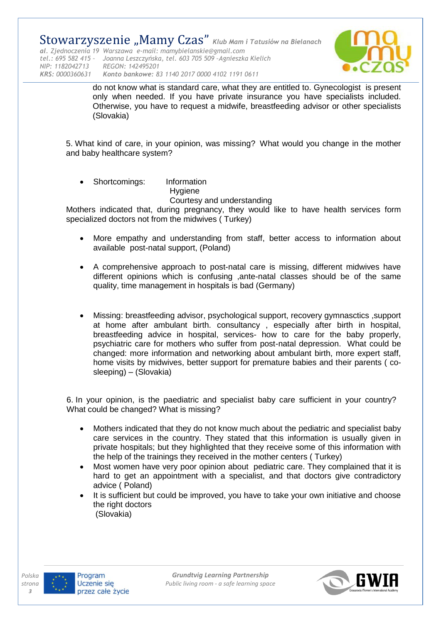Stowarzyszenie "Mamy Czas" Klub Mam i Tatusiów na Bielanach *al. Zjednoczenia 19 Warszawa e-mail: mamybielanskie@gmail.com tel.: 695 582 415 – Joanna Leszczyńska, tel. 603 705 509 –Agnieszka Kielich NIP: 1182042713 REGON: 142495201 KRS: 0000360631 Konto bankowe: 83 1140 2017 0000 4102 1191 0611*



do not know what is standard care, what they are entitled to. Gynecologist is present only when needed. If you have private insurance you have specialists included. Otherwise, you have to request a midwife, breastfeeding advisor or other specialists (Slovakia)

5. What kind of care, in your opinion, was missing? What would you change in the mother and baby healthcare system?

Shortcomings: Information

**Hygiene** 

Courtesy and understanding

Mothers indicated that, during pregnancy, they would like to have health services form specialized doctors not from the midwives ( Turkey)

- More empathy and understanding from staff, better access to information about available post-natal support, (Poland)
- A comprehensive approach to post-natal care is missing, different midwives have different opinions which is confusing ,ante-natal classes should be of the same quality, time management in hospitals is bad (Germany)
- Missing: breastfeeding advisor, psychological support, recovery gymnasctics ,support at home after ambulant birth. consultancy , especially after birth in hospital, breastfeeding advice in hospital, services- how to care for the baby properly, psychiatric care for mothers who suffer from post-natal depression. What could be changed: more information and networking about ambulant birth, more expert staff, home visits by midwives, better support for premature babies and their parents ( cosleeping) – (Slovakia)

6. In your opinion, is the paediatric and specialist baby care sufficient in your country? What could be changed? What is missing?

- Mothers indicated that they do not know much about the pediatric and specialist baby care services in the country. They stated that this information is usually given in private hospitals; but they highlighted that they receive some of this information with the help of the trainings they received in the mother centers ( Turkey)
- Most women have very poor opinion about pediatric care. They complained that it is hard to get an appointment with a specialist, and that doctors give contradictory advice ( Poland)
- It is sufficient but could be improved, you have to take your own initiative and choose the right doctors (Slovakia)